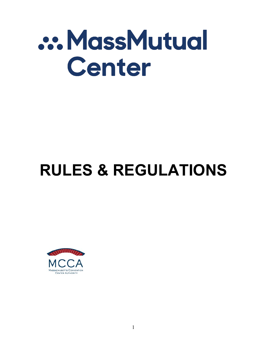# ... MassMutual Center

# **RULES & REGULATIONS**



1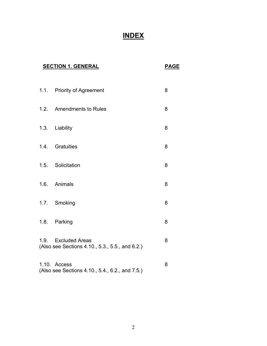## **INDEX**

| <b>SECTION 1. GENERAL</b> |      | <b>PAGE</b>                                                            |   |
|---------------------------|------|------------------------------------------------------------------------|---|
|                           |      | 1.1. Priority of Agreement                                             | 8 |
|                           | 1.2. | <b>Amendments to Rules</b>                                             | 8 |
|                           | 1.3. | Liability                                                              | 8 |
|                           |      | 1.4. Gratuities                                                        | 8 |
|                           | 1.5. | Solicitation                                                           | 8 |
|                           |      | 1.6. Animals                                                           | 8 |
|                           |      | 1.7. Smoking                                                           | 8 |
|                           | 1.8. | Parking                                                                | 8 |
|                           |      | 1.9. Excluded Areas<br>(Also see Sections 4.10., 5.3., 5.5., and 6.2.) | 8 |
|                           |      | 1.10. Access<br>(Also see Sections 4.10., 5.4., 6.2., and 7.5.)        | 8 |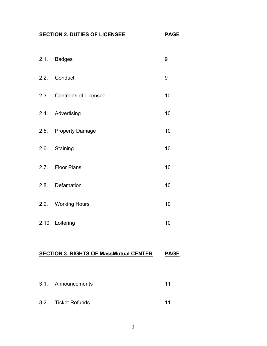#### **SECTION 2. DUTIES OF LICENSEE PAGE**

2.1. Badges 9 2.2. Conduct 9 2.3. Contracts of Licensee 10 2.4. Advertising 10 2.5. Property Damage 10 2.6. Staining 10 2.7. Floor Plans 10 2.8. Defamation 10 2.9. Working Hours 10 2.10. Loitering 10

#### **SECTION 3. RIGHTS OF MassMutual CENTER PAGE**

- 3.1. Announcements 11
- 3.2. Ticket Refunds 11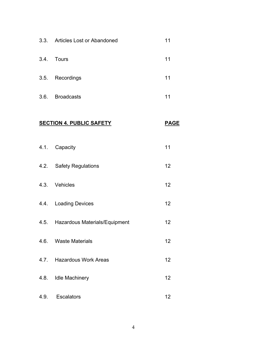|      | 3.3. Articles Lost or Abandoned    | 11          |
|------|------------------------------------|-------------|
|      | 3.4. Tours                         | 11          |
|      | 3.5. Recordings                    | 11          |
|      | 3.6. Broadcasts                    | 11          |
|      | <b>SECTION 4. PUBLIC SAFETY</b>    | <b>PAGE</b> |
|      | 4.1. Capacity                      | 11          |
|      | 4.2. Safety Regulations            | 12          |
|      | 4.3. Vehicles                      | 12          |
|      | 4.4. Loading Devices               | 12          |
|      | 4.5. Hazardous Materials/Equipment | 12          |
|      | 4.6. Waste Materials               | 12          |
|      | 4.7. Hazardous Work Areas          | 12          |
|      | 4.8. Idle Machinery                | 12          |
| 4.9. | <b>Escalators</b>                  | 12          |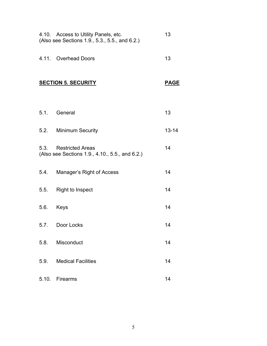| 4.10. Access to Utility Panels, etc.<br>(Also see Sections 1.9., 5.3., 5.5., and 6.2.) |                                                                          | 13          |
|----------------------------------------------------------------------------------------|--------------------------------------------------------------------------|-------------|
|                                                                                        | 4.11. Overhead Doors                                                     | 13          |
|                                                                                        | <b>SECTION 5. SECURITY</b>                                               | <b>PAGE</b> |
|                                                                                        | 5.1. General                                                             | 13          |
|                                                                                        | 5.2. Minimum Security                                                    | $13 - 14$   |
|                                                                                        | 5.3. Restricted Areas<br>(Also see Sections 1.9., 4.10., 5.5., and 6.2.) | 14          |
|                                                                                        | 5.4. Manager's Right of Access                                           | 14          |
|                                                                                        | 5.5. Right to Inspect                                                    | 14          |
|                                                                                        | 5.6. Keys                                                                | 14          |
| 5.7.                                                                                   | Door Locks                                                               | 14          |
|                                                                                        | 5.8. Misconduct                                                          | 14          |
| 5.9.                                                                                   | <b>Medical Facilities</b>                                                | 14          |
|                                                                                        | 5.10. Firearms                                                           | 14          |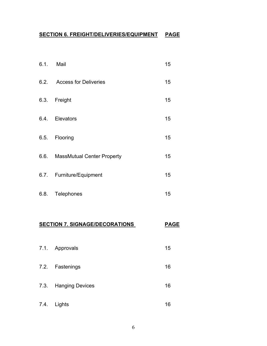#### **SECTION 6. FREIGHT/DELIVERIES/EQUIPMENT PAGE**

|      | 6.1. Mail                       | 15 |
|------|---------------------------------|----|
|      | 6.2. Access for Deliveries      | 15 |
| 6.3. | Freight                         | 15 |
| 6.4. | Elevators                       | 15 |
| 6.5. | Flooring                        | 15 |
|      | 6.6. MassMutual Center Property | 15 |
|      | 6.7. Furniture/Equipment        | 15 |
|      | 6.8. Telephones                 | 15 |

### **SECTION 7. SIGNAGE/DECORATIONS PAGE**

- 7.1. Approvals 15
- 7.2. Fastenings 16
- 7.3. Hanging Devices 16
- 7.4. Lights 16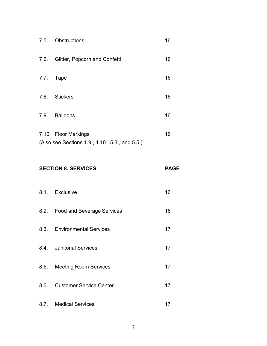|      | 7.5. Obstructions                                                       | 16 |
|------|-------------------------------------------------------------------------|----|
| 7.6. | Glitter, Popcorn and Confetti                                           | 16 |
| 7.7. | Tape                                                                    | 16 |
| 7.8. | <b>Stickers</b>                                                         | 16 |
| 7.9. | <b>Balloons</b>                                                         | 16 |
|      | 7.10. Floor Markings<br>(Also see Sections 1.9., 4.10., 5.3., and 5.5.) | 16 |

#### **SECTION 8. SERVICES** PAGE

| 8.1. Exclusive |  |
|----------------|--|
|                |  |

- 8.2. Food and Beverage Services 16
- 8.3. Environmental Services 17
- 8.4. Janitorial Services 17
- 8.5. Meeting Room Services 17
- 8.6. Customer Service Center 17
- 8.7. Medical Services 17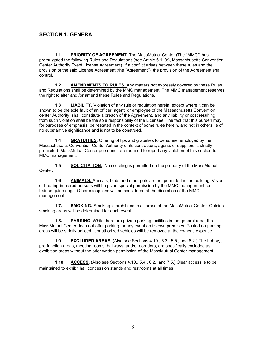#### **SECTION 1. GENERAL**

1.1 PRIORITY OF AGREEMENT. The MassMutual Center (The "MMC") has promulgated the following Rules and Regulations (see Article 6.1. (c), Massachusetts Convention Center Authority Event License Agreement). If a conflict arises between these rules and the provision of the said License Agreement (the "Agreement"), the provision of the Agreement shall control.

**1.2 AMENDMENTS TO RULES.** Any matters not expressly covered by these Rules and Regulations shall be determined by the MMC management. The MMC management reserves the right to alter and /or amend these Rules and Regulations.

**1.3 LIABILITY.** Violation of any rule or regulation herein, except where it can be shown to be the sole fault of an officer, agent, or employee of the Massachusetts Convention center Authority, shall constitute a breach of the Agreement, and any liability or cost resulting from such violation shall be the sole responsibility of the Licensee. The fact that this burden may, for purposes of emphasis, be restated in the context of some rules herein, and not in others, is of no substantive significance and is not to be construed.

**1.4 GRATUITIES.** Offering of tips and gratuities to personnel employed by the Massachusetts Convention Center Authority or its contractors, agents or suppliers is strictly prohibited. MassMutual Center personnel are required to report any violation of this section to MMC management.

**1.5 SOLICITATION.** No soliciting is permitted on the property of the MassMutual Center.

**1.6 ANIMALS.** Animals, birds and other pets are not permitted in the building. Vision or hearing-impaired persons will be given special permission by the MMC management for trained guide dogs. Other exceptions will be considered at the discretion of the MMC management.

**1.7. SMOKING.** Smoking is prohibited in all areas of the MassMutual Center. Outside smoking areas will be determined for each event.

**1.8. PARKING.** While there are private parking facilities in the general area, the MassMutual Center does not offer parking for any event on its own premises. Posted no-parking areas will be strictly policed. Unauthorized vehicles will be removed at the owner's expense.

**1.9. EXCLUDED AREAS.** (Also see Sections 4.10., 5.3., 5.5., and 6.2.) The Lobby, , pre-function areas, meeting rooms, hallways, and/or corridors, are specifically excluded as exhibition areas without the prior written permission of the MassMutual Center management.

**1.10. ACCESS.** (Also see Sections 4.10., 5.4., 6.2., and 7.5.) Clear access is to be maintained to exhibit hall concession stands and restrooms at all times.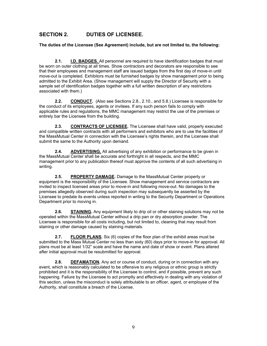#### **SECTION 2. DUTIES OF LICENSEE.**

**The duties of the Licensee (See Agreement) include, but are not limited to, the following:**

**2.1. I.D. BADGES.** All personnel are required to have identification badges that must be worn on outer clothing at all times. Show contractors and decorators are responsible to see that their employees and management staff are issued badges from the first day of move-in until move-out is completed. Exhibitors must be furnished badges by show management prior to being admitted to the Exhibit Area. (Show management will supply the Director of Security with a sample set of identification badges together with a full written description of any restrictions associated with them.)

**2.2. CONDUCT.** (Also see Sections 2.8., 2.10., and 5.8.) Licensee is responsible for the conduct of its employees, agents or invitees. If any such person fails to comply with applicable rules and regulations, the MMC management may restrict the use of the premises or entirely bar the Licensee from the building.

**2.3. CONTRACTS OF LICENSEE.** The Licensee shall have valid, properly executed and compatible written contracts with all performers and exhibitors who are to use the facilities of the MassMutual Center in connection with the Licensee's rights therein, and the Licensee shall submit the same to the Authority upon demand.

**2.4. ADVERTISING.** All advertising of any exhibition or performance to be given in the MassMutual Center shall be accurate and forthright in all respects, and the MMC management prior to any publication thereof must approve the contents of all such advertising in writing.

**2.5. PROPERTY DAMAGE.** Damage to the MassMutual Center property or equipment is the responsibility of the Licensee. Show management and service contractors are invited to inspect licensed areas prior to move-in and following move-out. No damages to the premises allegedly observed during such inspection may subsequently be asserted by the Licensee to predate its events unless reported in writing to the Security Department or Operations Department prior to moving in.

**2.6. STAINING.** Any equipment likely to drip oil or other staining solutions may not be operated within the MassMutual Center without a drip pan or dry absorption powder. The Licensee is responsible for all costs including, but not limited to, cleaning that may result from staining or other damage caused by staining materials.

**2.7. FLOOR PLANS.** Six (6) copies of the floor plan of the exhibit areas must be submitted to the Mass Mutual Center no less than sixty (60) days prior to move-in for approval. All plans must be at least 1/32" scale and have the name and date of show or event. Plans altered after initial approval must be resubmitted for approval.

**2.8. DEFAMATION.** Any act or course of conduct, during or in connection with any event, which is reasonably calculated to be offensive to any religious or ethnic group is strictly prohibited and it is the responsibility of the Licensee to control, and if possible, prevent any such happening. Failure by the Licensee to act promptly and effectively in dealing with any violation of this section, unless the misconduct is solely attributable to an officer, agent, or employee of the Authority, shall constitute a breach of the License.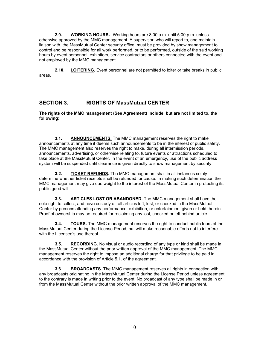**2.9. WORKING HOURS.** Working hours are 8:00 a.m. until 5:00 p.m. unless otherwise approved by the MMC management. A supervisor, who will report to, and maintain liaison with, the MassMutual Center security office, must be provided by show management to control and be responsible for all work performed, or to be performed, outside of the said working hours by event personnel, exhibitors, service contractors or others connected with the event and not employed by the MMC management.

**2.10**. **LOITERING.** Event personnel are not permitted to loiter or take breaks in public areas.

#### **SECTION 3. RIGHTS OF MassMutual CENTER**

**The rights of the MMC management (See Agreement) include, but are not limited to, the following:**

**3.1. ANNOUNCEMENTS.** The MMC management reserves the right to make announcements at any time it deems such announcements to be in the interest of public safety. The MMC management also reserves the right to make, during all intermission periods, announcements, advertising, or otherwise relating to, future events or attractions scheduled to take place at the MassMutual Center. In the event of an emergency, use of the public address system will be suspended until clearance is given directly to show management by security.

**3.2. TICKET REFUNDS.** The MMC management shall in all instances solely determine whether ticket receipts shall be refunded for cause. In making such determination the MMC management may give due weight to the interest of the MassMutual Center in protecting its public good will.

**3.3. ARTICLES LOST OR ABANDONED.** The MMC management shall have the sole right to collect, and have custody of, all articles left, lost, or checked in the MassMutual Center by persons attending any performance, exhibition, or entertainment given or held therein. Proof of ownership may be required for reclaiming any lost, checked or left behind article.

**3.4. TOURS.** The MMC management reserves the right to conduct public tours of the MassMutual Center during the License Period, but will make reasonable efforts not to interfere with the Licensee's use thereof.

**3.5. RECORDING.** No visual or audio recording of any type or kind shall be made in the MassMutual Center without the prior written approval of the MMC management. The MMC management reserves the right to impose an additional charge for that privilege to be paid in accordance with the provision of Article 5.1. of the agreement.

**3.6. BROADCASTS.** The MMC management reserves all rights in connection with any broadcasts originating in the MassMutual Center during the License Period unless agreement to the contrary is made in writing prior to the event. No broadcast of any type shall be made in or from the MassMutual Center without the prior written approval of the MMC management.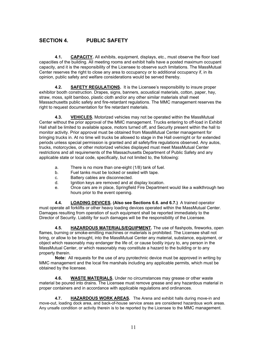#### **SECTION 4. PUBLIC SAFETY**

**4.1. CAPACITY.** All exhibits, equipment, displays, etc., must observe the floor load capacities of the building. All meeting rooms and exhibit halls have a posted maximum occupant capacity, and it is the responsibility of the Licensee to observe such limitations. The MassMutual Center reserves the right to close any area to occupancy or to additional occupancy if, in its opinion, public safety and welfare considerations would be served thereby.

**4.2. SAFETY REGULATIONS.** It is the Licensee's responsibility to insure proper exhibitor booth construction. Drapes, signs, banners, acoustical materials, cotton, paper, hay, straw, moss, split bamboo, plastic cloth and/or any other similar materials shall meet Massachusetts public safety and fire-retardant regulations. The MMC management reserves the right to request documentation for fire retardant materials.

**4.3. VEHICLES.** Motorized vehicles may not be operated within the MassMutual Center without the prior approval of the MMC management. Trucks entering to off-load in Exhibit Hall shall be limited to available space, motors turned off, and Security present within the hall to monitor activity. Prior approval must be obtained from MassMutual Center management for bringing trucks in. At no time will trucks be allowed to stage in the Hall overnight or for extended periods unless special permission is granted and all safety/fire regulations observed. Any autos, trucks, motorcycles, or other motorized vehicles displayed must meet MassMutual Center restrictions and all requirements of the Massachusetts Department of Public Safety and any applicable state or local code, specifically, but not limited to, the following:

- a. There is no more than one-eight (1/8) tank of fuel.
- b. Fuel tanks must be locked or sealed with tape.
- c. Battery cables are disconnected.
- d. Ignition keys are removed and at display location.
- e. Once cars are in place, Springfield Fire Department would like a walkthrough two hours prior to the event opening.

**4.4. LOADING DEVICES. (Also see Sections 6.6. and 6.7.)** A trained operator must operate all forklifts or other heavy loading devices operated within the MassMutual Center. Damages resulting from operation of such equipment shall be reported immediately to the Director of Security. Liability for such damages will be the responsibility of the Licensee.

**4.5. HAZARDOUS MATERIALS/EQUIPMENT.** The use of flashpots, fireworks, open flames, burning or smoke-emitting machines or materials is prohibited. The Licensee shall not bring, or allow to be brought, into the MassMutual Center any material, substance, equipment, or object which reasonably may endanger the life of, or cause bodily injury to, any person in the MassMutual Center, or which reasonably may constitute a hazard to the building or to any property therein.

**Note:** All requests for the use of any pyrotechnic device must be approved in writing by MMC management and the local fire marshals including any applicable permits, which must be obtained by the licensee.

**4.6. WASTE MATERIALS.** Under no circumstances may grease or other waste material be poured into drains. The Licensee must remove grease and any hazardous material in proper containers and in accordance with applicable regulations and ordinances.

**4.7. HAZARDOUS WORK AREAS.** The Arena and exhibit halls during move-in and move-out, loading dock area, and back-of-house service areas are considered hazardous work areas. Any unsafe condition or activity therein is to be reported by the Licensee to the MMC management.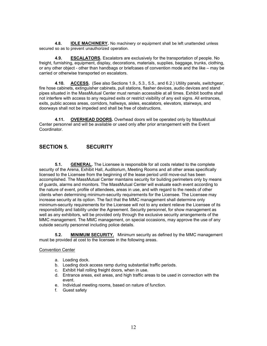**4.8. IDLE MACHINERY.** No machinery or equipment shall be left unattended unless secured so as to prevent unauthorized operation.

**4.9. ESCALATORS.** Escalators are exclusively for the transportation of people. No freight, furnishing, equipment, display, decorations, materials, supplies, baggage, trunks, clothing, or any other object - other than handbags or briefcases of convention mode and the like – may be carried or otherwise transported on escalators.

**4.10. ACCESS.** (See also Sections 1.9., 5.3., 5.5., and 6.2.) Utility panels, switchgear, fire hose cabinets, extinguisher cabinets, pull stations, flasher devices, audio devices and stand pipes situated in the MassMutual Center must remain accessible at all times. Exhibit booths shall not interfere with access to any required exits or restrict visibility of any exit signs. All entrances, exits, public access areas, corridors, hallways, aisles, escalators, elevators, stairways, and doorways shall not be impeded and shall be free of obstructions.

**4.11. OVERHEAD DOORS.** Overhead doors will be operated only by MassMutual Center personnel and will be available or used only after prior arrangement with the Event Coordinator.

#### **SECTION 5. SECURITY**

**5.1. GENERAL.** The Licensee is responsible for all costs related to the complete security of the Arena, Exhibit Hall, Auditorium, Meeting Rooms and all other areas specifically licensed to the Licensee from the beginning of the lease period until move-out has been accomplished. The MassMutual Center maintains security for building perimeters only by means of guards, alarms and monitors. The MassMutual Center will evaluate each event according to the nature of event, profile of attendees, areas in use, and with regard to the needs of other clients when determining minimum-security requirements for the Licensee. The Licensee may increase security at its option. The fact that the MMC management shall determine only minimum-security requirements for the Licensee will not to any extent relieve the Licensee of its responsibility and liability under the Agreement. Security personnel, for show management as well as any exhibitors, will be provided only through the exclusive security arrangements of the MMC management. The MMC management, on special occasions, may approve the use of any outside security personnel including police details.

**5.2. MINIMUM SECURITY.** Minimum security as defined by the MMC management must be provided at cost to the licensee in the following areas.

#### Convention Center

- a. Loading dock.
- b. Loading dock access ramp during substantial traffic periods.
- c. Exhibit Hall rolling freight doors, when in use.
- d. Entrance areas, exit areas, and high traffic areas to be used in connection with the event.
- e. Individual meeting rooms, based on nature of function.
- f. Guest safety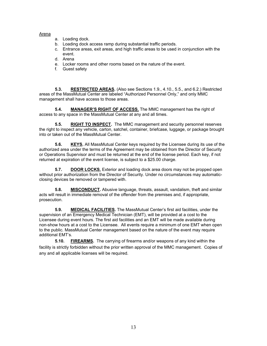#### Arena

- a. Loading dock.
- b. Loading dock access ramp during substantial traffic periods.
- c. Entrance areas, exit areas, and high traffic areas to be used in conjunction with the event.
- d. Arena
- e. Locker rooms and other rooms based on the nature of the event.
- f. Guest safety

**5.3. RESTRICTED AREAS.** (Also see Sections 1.9., 4.10., 5.5., and 6.2.) Restricted areas of the MassMutual Center are labeled "Authorized Personnel Only," and only MMC management shall have access to those areas.

**5.4. MANAGER'S RIGHT OF ACCESS.** The MMC management has the right of access to any space in the MassMutual Center at any and all times.

**5.5. RIGHT TO INSPECT.** The MMC management and security personnel reserves the right to inspect any vehicle, carton, satchel, container, briefcase, luggage, or package brought into or taken out of the MassMutual Center.

**5.6. KEYS.** All MassMutual Center keys required by the Licensee during its use of the authorized area under the terms of the Agreement may be obtained from the Director of Security or Operations Supervisor and must be returned at the end of the license period. Each key, if not returned at expiration of the event license, is subject to a \$25.00 charge.

**5.7. DOOR LOCKS.** Exterior and loading dock area doors may not be propped open without prior authorization from the Director of Security. Under no circumstances may automaticclosing devices be removed or tampered with.

**5.8. MISCONDUCT.** Abusive language, threats, assault, vandalism, theft and similar acts will result in immediate removal of the offender from the premises and, if appropriate, prosecution.

**5.9. MEDICAL FACILITIES.** The MassMutual Center's first aid facilities, under the supervision of an Emergency Medical Technician (EMT), will be provided at a cost to the Licensee during event hours. The first aid facilities and an EMT will be made available during non-show hours at a cost to the Licensee. All events require a minimum of one EMT when open to the public. MassMutual Center management based on the nature of the event may require additional EMT's.

**5.10. FIREARMS.** The carrying of firearms and/or weapons of any kind within the facility is strictly forbidden without the prior written approval of the MMC management. Copies of any and all applicable licenses will be required.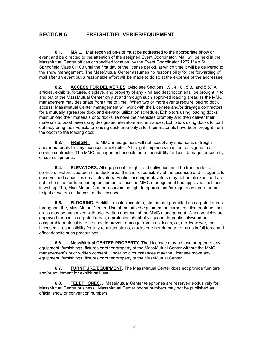#### **SECTION 6. FREIGHT/DELIVERIES/EQUIPMENT.**

**6.1. MAIL.** Mail received on-site must be addressed to the appropriate show or event and be directed to the attention of the assigned Event Coordinator. Mail will be held in the MassMutual Center offices or specified location, by the Event Coordinator 1277 Main St. Springfield Mass 01103 until the first day of the license period, at which time it will be delivered to the show management. The MassMutual Center assumes no responsibility for the forwarding of mail after an event but a reasonable effort will be made to do so at the expense of the addressee.

**6.2. ACCESS FOR DELIVERIES.** (Also see Sections 1.9., 4.10., 5.3., and 5.5.) All articles, exhibits, fixtures, displays, and property of any kind and description shall be brought in to and out of the MassMutual Center only at and through such approved loading areas as the MMC management may designate from time to time. When two or more events require loading dock access, MassMutual Center management will work with the Licensee and/or drayage contractors for a mutually agreeable dock and elevator utilization schedule. Exhibitors using loading docks must unload their materials onto docks, remove their vehicles promptly and then deliver their materials to booth area using designated elevators and entrances. Exhibitors using docks to load out may bring their vehicle to loading dock area only after their materials have been brought from the booth to the loading dock.

**6.3. FREIGHT.** The MMC management will not accept any shipments of freight and/or materials for any Licensee or exhibitor. All freight shipments must be consigned to a service contractor. The MMC management accepts no responsibility for loss, damage, or security of such shipments.

**6.4. ELEVATORS.** All equipment, freight, and deliveries must be transported on service elevators situated in the dock area. It is the responsibility of the Licensee and its agents to observe load capacities on all elevators. Public passenger elevators may not be blocked, and are not to be used for transporting equipment unless the MMC management has approved such use in writing. The, MassMutual Center reserves the right to operate and/or require an operator for freight elevators at the cost of the licensee.

**6.5. FLOORING.** Forklifts, electric scooters, etc. are not permitted on carpeted areas throughout the, MassMutual Center. Use of motorized equipment on carpeted, tiled or stone floor areas may be authorized with prior written approval of the MMC management. When vehicles are approved for use in carpeted areas, a protected sheet of visqueen, tarpaulin, plywood or comparable material is to be used to prevent damage from tires, leaks, oil, etc. However, the Licensee's responsibility for any resultant stains, cracks or other damage remains in full force and effect despite such precautions.

**6.6. MassMutual CENTER PROPERTY.** The Licensee may not use or operate any equipment, furnishings, fixtures or other property of the MassMutual Center without the MMC management's prior written consent. Under no circumstances may the Licensee move any equipment, furnishings, fixtures or other property of the MassMutual Center.

**6.7. FURNITURE/EQUIPMENT.** The MassMutual Center does not provide furniture and/or equipment for exhibit hall use.

**6.8. TELEPHONES.** , MassMutual Center telephones are reserved exclusively for MassMutual Center business. MassMutual Center phone numbers may not be published as official show or convention numbers.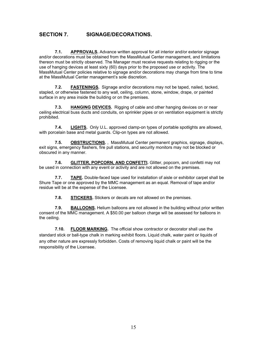#### **SECTION 7. SIGNAGE/DECORATIONS.**

**7.1. APPROVALS.** Advance written approval for all interior and/or exterior signage and/or decorations must be obtained from the MassMutual Center management, and limitations thereon must be strictly observed. The Manager must receive requests relating to rigging or the use of hanging devices at least sixty (60) days prior to the proposed use or activity. The MassMutual Center policies relative to signage and/or decorations may change from time to time at the MassMutual Center management's sole discretion.

**7.2. FASTENINGS.** Signage and/or decorations may not be taped, nailed, tacked, stapled, or otherwise fastened to any wall, ceiling, column, stone, window, drape, or painted surface in any area inside the building or on the premises.

**7.3. HANGING DEVICES.** Rigging of cable and other hanging devices on or near ceiling electrical buss ducts and conduits, on sprinkler pipes or on ventilation equipment is strictly prohibited.

**7.4. LIGHTS.** Only U.L. approved clamp-on types of portable spotlights are allowed, with porcelain base and metal guards. Clip-on types are not allowed.

**7.5. OBSTRUCTIONS.** , MassMutual Center permanent graphics, signage, displays, exit signs, emergency flashers, fire pull stations, and security monitors may not be blocked or obscured in any manner.

**7.6. GLITTER, POPCORN, AND CONFETTI.** Glitter, popcorn, and confetti may not be used in connection with any event or activity and are not allowed on the premises.

**7.7. TAPE.** Double-faced tape used for installation of aisle or exhibitor carpet shall be Shure Tape or one approved by the MMC management as an equal. Removal of tape and/or residue will be at the expense of the Licensee.

**7.8. STICKERS.** Stickers or decals are not allowed on the premises.

**7.9. BALLOONS.** Helium balloons are not allowed in the building without prior written consent of the MMC management. A \$50.00 per balloon charge will be assessed for balloons in the ceiling.

**7.10. FLOOR MARKING.** The official show contractor or decorator shall use the standard stick or ball-type chalk in marking exhibit floors. Liquid chalk, water paint or liquids of any other nature are expressly forbidden. Costs of removing liquid chalk or paint will be the responsibility of the Licensee.